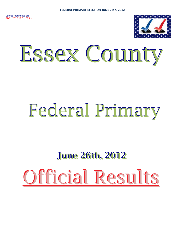

# Essex County

# Federal Primary

# **June 26th, 2012** Official Results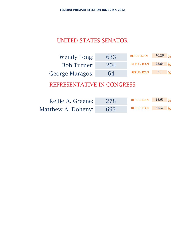# UNITED STATES SENATOR

| Wendy Long:            | 633 | <b>REPUBLICAN</b> | $70.26$ % |      |
|------------------------|-----|-------------------|-----------|------|
| <b>Bob Turner:</b>     | 204 | <b>REPUBLICAN</b> | $22.64$ % |      |
| <b>George Maragos:</b> | 64  | <b>REPUBLICAN</b> | 7.1       | $\%$ |

| Kellie A. Greene:  | 278 | REPUBLICAN         | $28.63$ % |  |
|--------------------|-----|--------------------|-----------|--|
| Matthew A. Doheny: | 693 | REPUBLICAN 71.37 % |           |  |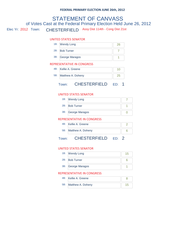## Elec Yr: 2012 Town: CHESTERFIELD Assy Dist 114th - Cong Dist 21st STATEMENT OF CANVASS of Votes Cast at the Federal Primary Election Held June 26, 2012

#### UNITED STATES SENATOR

| 1B: Wendy Long     |  |
|--------------------|--|
| 2B: Bob Turner     |  |
| 3B: George Maragos |  |

#### REPRESENTATIVE IN CONGRESS

| 4B: Kellie A. Greene  |  |
|-----------------------|--|
| 5B: Matthew A. Doheny |  |
|                       |  |

## Town: CHESTERFIELD ED: 1

#### UNITED STATES SENATOR

| 1B: Wendy Long     |  |
|--------------------|--|
| 2B: Bob Turner     |  |
| 3B: George Maragos |  |

#### REPRESENTATIVE IN CONGRESS

| 4B: Kellie A. Greene  |  |
|-----------------------|--|
| 5B: Matthew A. Doheny |  |

### Town: CHESTERFIELD ED: 2

#### UNITED STATES SENATOR

| 1B: Wendy Long     |  |
|--------------------|--|
| 2B: Bob Turner     |  |
| 3B: George Maragos |  |

| 4B: Kellie A. Greene  |  |
|-----------------------|--|
| 5B: Matthew A. Doheny |  |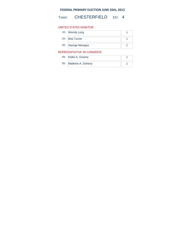Town: CHESTERFIELD ED: 4

#### UNITED STATES SENATOR

|     | 1B: Wendy Long     |  |
|-----|--------------------|--|
| 2B: | <b>Bob Turner</b>  |  |
|     | 3B: George Maragos |  |

| 4B: Kellie A. Greene  |  |
|-----------------------|--|
| 5B: Matthew A. Doheny |  |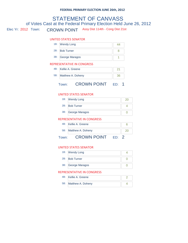## Elec Yr: 2012 Town: CROWN POINT Assy Dist 114th - Cong Dist 21st STATEMENT OF CANVASS of Votes Cast at the Federal Primary Election Held June 26, 2012

#### UNITED STATES SENATOR

| 1B: Wendy Long     |  |
|--------------------|--|
| 2B: Bob Turner     |  |
| 3B: George Maragos |  |

#### REPRESENTATIVE IN CONGRESS

|     | Town:                | <b>CROWN POINT</b> |    |  |
|-----|----------------------|--------------------|----|--|
| 5B: |                      | Matthew A. Doheny  | 36 |  |
|     | 4B: Kellie A. Greene |                    |    |  |

#### UNITED STATES SENATOR

| 1B: Wendy Long     |  |
|--------------------|--|
| 2B: Bob Turner     |  |
| 3B: George Maragos |  |
|                    |  |

#### REPRESENTATIVE IN CONGRESS

| 5B: Matthew A. Doheny |  |
|-----------------------|--|
| 4B: Kellie A. Greene  |  |

#### Town: CROWN POINT ED: 2

#### UNITED STATES SENATOR

| 1B: Wendy Long     |  |
|--------------------|--|
| 2B: Bob Turner     |  |
| 3B: George Maragos |  |

| 4B: Kellie A. Greene  |  |
|-----------------------|--|
| 5B: Matthew A. Doheny |  |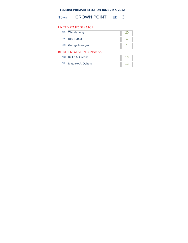Town: **CROWN POINT** ED: 3

#### UNITED STATES SENATOR

|     | 1B: Wendy Long     |  |
|-----|--------------------|--|
| 2B: | <b>Bob Turner</b>  |  |
|     | 3B: George Maragos |  |

| 4B: Kellie A. Greene  |  |
|-----------------------|--|
| 5B: Matthew A. Doheny |  |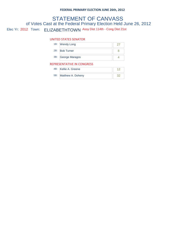## Elec Yr: 2012 Town: ELIZABETHTOWN Assy Dist 114th - Cong Dist 21st STATEMENT OF CANVASS of Votes Cast at the Federal Primary Election Held June 26, 2012

#### UNITED STATES SENATOR

|                            | 1B: Wendy Long     |  |
|----------------------------|--------------------|--|
|                            | 2B: Bob Turner     |  |
|                            | 3B: George Maragos |  |
| REPRESENTATIVE IN CONGRESS |                    |  |

## 4B: Kellie A. Greene 12 5B: Matthew A. Doheny 32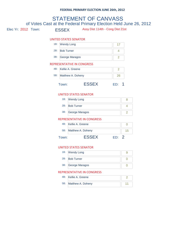# Elec Yr: 2012 Town: ESSEX Assy Dist 114th - Cong Dist 21st STATEMENT OF CANVASS of Votes Cast at the Federal Primary Election Held June 26, 2012 UNITED STATES SENATOR 1B: Wendy Long 17 2B: Bob Turner 4 3B: George Maragos 2 4B: Kellie A. Greene 2 REPRESENTATIVE IN CONGRESS 5B: Matthew A. Doheny 26 Town: **ESSEX** ED: 1 UNITED STATES SENATOR 1B: Wendy Long 8 2B: Bob Turner 4 3B: George Maragos 2 REPRESENTATIVE IN CONGRESS

|       | 4B: Kellie A. Greene  |     |  |
|-------|-----------------------|-----|--|
|       | 5B: Matthew A. Doheny |     |  |
| Town: | FSSEX                 | FD. |  |

#### UNITED STATES SENATOR

| 1B: Wendy Long     |  |
|--------------------|--|
| 2B: Bob Turner     |  |
| 3B: George Maragos |  |

| 4B: Kellie A. Greene  |  |
|-----------------------|--|
| 5B: Matthew A. Doheny |  |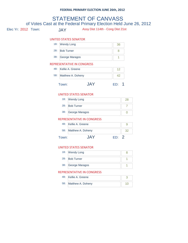## Elec Yr: 2012 Town: JAY Assy Dist 114th - Cong Dist 21st STATEMENT OF CANVASS of Votes Cast at the Federal Primary Election Held June 26, 2012 UNITED STATES SENATOR 1B: Wendy Long 36 2B: Bob Turner 8 3B: George Maragos 1 4B: Kellie A. Greene 12 REPRESENTATIVE IN CONGRESS 5B: Matthew A. Doheny **1988** 42 Town: JAY ED: 1 UNITED STATES SENATOR 1B: Wendy Long 28 2B: Bob Turner 7 3B: George Maragos 0 4B: Kellie A. Greene 9 REPRESENTATIVE IN CONGRESS 5B: Matthew A. Doheny 32

Town: **JAY** ED: 2

#### UNITED STATES SENATOR

| 1B: Wendy Long     |  |
|--------------------|--|
| 2B: Bob Turner     |  |
| 3B: George Maragos |  |

| 4B: Kellie A. Greene  |  |
|-----------------------|--|
| 5B: Matthew A. Doheny |  |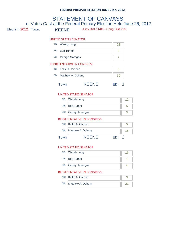## Elec Yr: 2012 Town: KEENE Assy Dist 114th - Cong Dist 21st STATEMENT OF CANVASS of Votes Cast at the Federal Primary Election Held June 26, 2012 UNITED STATES SENATOR 1B: Wendy Long 28 2B: Bob Turner 9 3B: George Maragos 7 4B: Kellie A. Greene 8 REPRESENTATIVE IN CONGRESS 5B: Matthew A. Doheny **1988** 39 Town: KEENE ED: 1 UNITED STATES SENATOR 1B: Wendy Long 12 2B: Bob Turner 5 3B: George Maragos 3 4B: Kellie A. Greene 5 REPRESENTATIVE IN CONGRESS 5B: Matthew A. Doheny 18 Town: **KEENE** ED: 2

#### UNITED STATES SENATOR

| 1B: Wendy Long     |  |
|--------------------|--|
| 2B: Bob Turner     |  |
| 3B: George Maragos |  |

| 4B: Kellie A. Greene  |  |
|-----------------------|--|
| 5B: Matthew A. Doheny |  |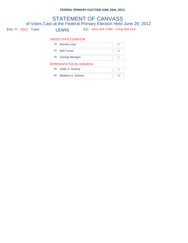#### LEWIS ED: Assy Dist 114th - Cong Dist 21st STATEMENT OF CANVASS of Votes Cast at the Federal Primary Election Held June 26, 2012 Elec Yr: 2012 Town:

#### UNITED STATES SENATOR

|                            | 1B: Wendy Long     |  |
|----------------------------|--------------------|--|
|                            | 2B: Bob Turner     |  |
|                            | 3B: George Maragos |  |
| REPRESENTATIVE IN CONGRESS |                    |  |

| 4B: | Kellie A. Greene      |  |
|-----|-----------------------|--|
|     | 5B: Matthew A. Doheny |  |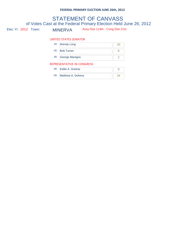## Elec Yr: 2012 Town: MINERVA Assy Dist 114th - Cong Dist 21st STATEMENT OF CANVASS of Votes Cast at the Federal Primary Election Held June 26, 2012

#### UNITED STATES SENATOR

|                            | 1B: Wendy Long     | 30 |
|----------------------------|--------------------|----|
|                            | 2B: Bob Turner     |    |
|                            | 3B: George Maragos |    |
| REPRESENTATIVE IN CONGRESS |                    |    |

| 4B: Kellie A. Greene  |  |
|-----------------------|--|
| 5B: Matthew A. Doheny |  |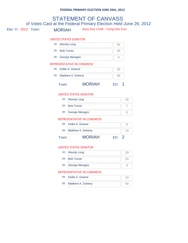# Elec Yr: 2012 Town: MORIAH Assy Dist 114th - Cong Dist 21st STATEMENT OF CANVASS of Votes Cast at the Federal Primary Election Held June 26, 2012 UNITED STATES SENATOR 1B: Wendy Long 62 2B: Bob Turner 35 3B: George Maragos 4 4B: Kellie A. Greene 35 REPRESENTATIVE IN CONGRESS 5B: Matthew A. Doheny **69** Town: MORIAH ED: 1 UNITED STATES SENATOR 1B: Wendy Long 16 2B: Bob Turner 7 3B: George Maragos 0

#### REPRESENTATIVE IN CONGRESS

| Town: | <b>MORIAH</b><br>FD.  |  |
|-------|-----------------------|--|
|       | 5B: Matthew A. Doheny |  |
|       | 4B: Kellie A. Greene  |  |

#### UNITED STATES SENATOR

|     | 1B: Wendy Long     |  |
|-----|--------------------|--|
| 2B: | <b>Bob Turner</b>  |  |
|     | 3B: George Maragos |  |

| 4B: Kellie A. Greene  |  |
|-----------------------|--|
| 5B: Matthew A. Doheny |  |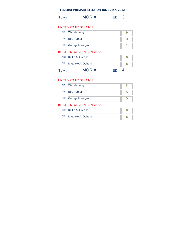| Town: | <b>MORIAH</b> | ED: 3 |
|-------|---------------|-------|
|-------|---------------|-------|

#### UNITED STATES SENATOR

| 1B: Wendy Long     |  |
|--------------------|--|
| 2B: Bob Turner     |  |
| 3B: George Maragos |  |

#### REPRESENTATIVE IN CONGRESS

| Town: | <b>MORIAH</b><br>FD.  | $\boldsymbol{\Delta}$ |
|-------|-----------------------|-----------------------|
|       | 5B: Matthew A. Doheny |                       |
|       | 4B: Kellie A. Greene  |                       |

#### UNITED STATES SENATOR

| 1B: Wendy Long     |  |
|--------------------|--|
| 2B: Bob Turner     |  |
| 3B: George Maragos |  |

| 4B: Kellie A. Greene  |  |
|-----------------------|--|
| 5B: Matthew A. Doheny |  |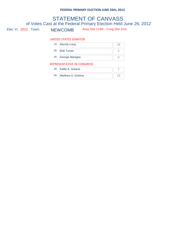## Elec Yr: 2012 Town: NEWCOMB Assy Dist 114th - Cong Dist 21st STATEMENT OF CANVASS of Votes Cast at the Federal Primary Election Held June 26, 2012

#### UNITED STATES SENATOR

|   | 1B: Wendy Long     | 16. |  |
|---|--------------------|-----|--|
|   | 2B: Bob Turner     |     |  |
|   | 3B: George Maragos |     |  |
| R |                    |     |  |

| 4B: Kellie A. Greene  |  |
|-----------------------|--|
| 5B: Matthew A. Doheny |  |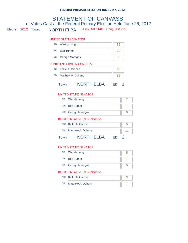### Elec Yr: 2012 Town: NORTH ELBA Assy Dist 114th - Cong Dist 21st STATEMENT OF CANVASS of Votes Cast at the Federal Primary Election Held June 26, 2012

#### UNITED STATES SENATOR

| 1B: Wendy Long     |  |
|--------------------|--|
| 2B: Bob Turner     |  |
| 3B: George Maragos |  |

#### REPRESENTATIVE IN CONGRESS

|     | Town:                | <b>NORTH ELBA</b> |    |  |
|-----|----------------------|-------------------|----|--|
| 5B: | Matthew A. Doheny    |                   | 86 |  |
|     | 4B: Kellie A. Greene |                   | 38 |  |

#### UNITED STATES SENATOR

| 1B: Wendy Long     |  |
|--------------------|--|
| 2B: Bob Turner     |  |
| 3B: George Maragos |  |
|                    |  |

#### REPRESENTATIVE IN CONGRESS

| own: | <b>NORTH ELBA</b>     |  |
|------|-----------------------|--|
|      | 5B: Matthew A. Doheny |  |
|      | 4B: Kellie A. Greene  |  |

#### UNITED STATES SENATOR

| 1B: Wendy Long     |  |
|--------------------|--|
| 2B: Bob Turner     |  |
| 3B: George Maragos |  |

| 4B: Kellie A. Greene  |  |
|-----------------------|--|
| 5B: Matthew A. Doheny |  |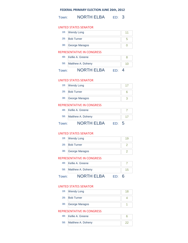Town: **NORTH ELBA** ED: 3

#### UNITED STATES SENATOR

| 1B: Wendy Long     |  |
|--------------------|--|
| 2B: Bob Turner     |  |
| 3B: George Maragos |  |

#### REPRESENTATIVE IN CONGRESS

|       | 4B: Kellie A. Greene<br>5B: Matthew A. Doheny |     |   |
|-------|-----------------------------------------------|-----|---|
| Town: | <b>NORTH ELBA</b>                             | FD. | Δ |

#### UNITED STATES SENATOR

| 1B: Wendy Long     |  |
|--------------------|--|
| 2B: Bob Turner     |  |
| 3B: George Maragos |  |

#### REPRESENTATIVE IN CONGRESS

|       | 4B: Kellie A. Greene  |     |  |
|-------|-----------------------|-----|--|
|       | 5B: Matthew A. Doheny |     |  |
| Town: | <b>NORTH ELBA</b>     | FD. |  |

#### UNITED STATES SENATOR

| 1B: Wendy Long     |  |
|--------------------|--|
| 2B: Bob Turner     |  |
| 3B: George Maragos |  |

#### REPRESENTATIVE IN CONGRESS

|       | 4B: Kellie A. Greene  |     |  |
|-------|-----------------------|-----|--|
|       | 5B: Matthew A. Doheny |     |  |
| Town: | <b>NORTH ELBA</b>     | FD. |  |

#### UNITED STATES SENATOR

| 1B: Wendy Long     |  |
|--------------------|--|
| 2B: Bob Turner     |  |
| 3B: George Maragos |  |

| 4B: Kellie A. Greene  |  |
|-----------------------|--|
| 5B: Matthew A. Doheny |  |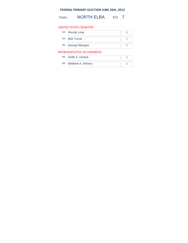Town: **NORTH ELBA** ED: 7

#### UNITED STATES SENATOR

| 1B: Wendy Long     |  |
|--------------------|--|
| 2B: Bob Turner     |  |
| 3B: George Maragos |  |

| 4B: Kellie A. Greene  |  |
|-----------------------|--|
| 5B: Matthew A. Doheny |  |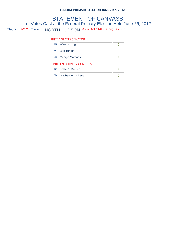## Elec Yr: 2012 Town: NORTH HUDSON Assy Dist 114th - Cong Dist 21st STATEMENT OF CANVASS of Votes Cast at the Federal Primary Election Held June 26, 2012

#### UNITED STATES SENATOR

| 1B:                        | <b>Wendy Long</b>  |  |  |
|----------------------------|--------------------|--|--|
|                            | 2B: Bob Turner     |  |  |
|                            | 3B: George Maragos |  |  |
| REPRESENTATIVE IN CONGRESS |                    |  |  |
| $\overline{\phantom{a}}$   | <br>$\sim$         |  |  |

| 4B: Kellie A. Greene  |  |
|-----------------------|--|
| 5B: Matthew A. Doheny |  |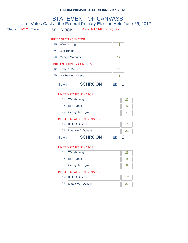# Elec Yr: 2012 Town: SCHROON Assy Dist 114th - Cong Dist 21st STATEMENT OF CANVASS of Votes Cast at the Federal Primary Election Held June 26, 2012 UNITED STATES SENATOR 1B: Wendy Long 48 2B: Bob Turner 14 3B: George Maragos 12 4B: Kellie A. Greene 30 REPRESENTATIVE IN CONGRESS 5B: Matthew A. Doheny 28 Town: SCHROON ED: 1 UNITED STATES SENATOR 1B: Wendy Long 23

| 1B: Wendy Long     |  |
|--------------------|--|
| 2B: Bob Turner     |  |
| 3B: George Maragos |  |
|                    |  |

#### REPRESENTATIVE IN CONGRESS

| Town: | <b>SCHROON</b><br>FD· |  |
|-------|-----------------------|--|
|       | 5B: Matthew A. Doheny |  |
|       | 4B: Kellie A. Greene  |  |

#### UNITED STATES SENATOR

| 1B: Wendy Long     |  |
|--------------------|--|
| 2B: Bob Turner     |  |
| 3B: George Maragos |  |

| 4B: Kellie A. Greene  |  |
|-----------------------|--|
| 5B: Matthew A. Doheny |  |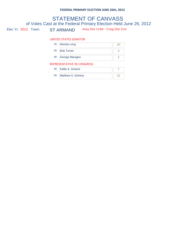## Elec Yr: 2012 Town: ST ARMAND Assy Dist 114th - Cong Dist 21st STATEMENT OF CANVASS of Votes Cast at the Federal Primary Election Held June 26, 2012

#### UNITED STATES SENATOR

|                            | 1B: Wendy Long     |  |  |
|----------------------------|--------------------|--|--|
|                            | 2B: Bob Turner     |  |  |
|                            | 3B: George Maragos |  |  |
| REPRESENTATIVE IN CONGRESS |                    |  |  |

| 4B: Kellie A. Greene  |  |
|-----------------------|--|
| 5B: Matthew A. Doheny |  |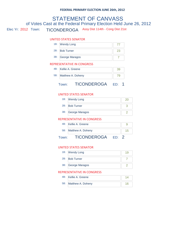## Elec Yr: 2012 Town: TICONDEROGA Assy Dist 114th - Cong Dist 21st STATEMENT OF CANVASS of Votes Cast at the Federal Primary Election Held June 26, 2012

#### UNITED STATES SENATOR

| 1B: Wendy Long     |  |
|--------------------|--|
| 2B: Bob Turner     |  |
| 3B: George Maragos |  |

#### REPRESENTATIVE IN CONGRESS

|     | 4B: Kellie A. Greene |                    |  |  |
|-----|----------------------|--------------------|--|--|
| 5B: |                      | Matthew A. Doheny  |  |  |
|     | own:                 | <b>TICONDEROGA</b> |  |  |

### UNITED STATES SENATOR

| 1B: Wendy Long     |  |
|--------------------|--|
| 2B: Bob Turner     |  |
| 3B: George Maragos |  |
|                    |  |

#### REPRESENTATIVE IN CONGRESS

| TIOONIDEDOO A         |  |
|-----------------------|--|
| 5B: Matthew A. Doheny |  |
| 4B: Kellie A. Greene  |  |

#### Town: TICONDEROGA ED: 2

#### UNITED STATES SENATOR

| 1B: Wendy Long     |  |
|--------------------|--|
| 2B: Bob Turner     |  |
| 3B: George Maragos |  |

| 4B: Kellie A. Greene  |  |
|-----------------------|--|
| 5B: Matthew A. Doheny |  |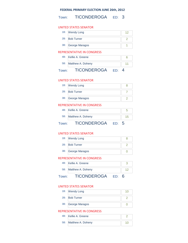Town: TICONDEROGA ED: 3

#### UNITED STATES SENATOR

| 1B: Wendy Long     |  |
|--------------------|--|
| 2B: Bob Turner     |  |
| 3B: George Maragos |  |

#### REPRESENTATIVE IN CONGRESS

|       | 4B: Kellie A. Greene  |     |          |
|-------|-----------------------|-----|----------|
|       | 5B: Matthew A. Doheny |     |          |
| Town: | <b>TICONDEROGA</b>    | ED. | $\Delta$ |

#### UNITED STATES SENATOR

| 1B: Wendy Long     |  |
|--------------------|--|
| 2B: Bob Turner     |  |
| 3B: George Maragos |  |

#### REPRESENTATIVE IN CONGRESS

|       | 4B: Kellie A. Greene  |       |  |
|-------|-----------------------|-------|--|
|       | 5B: Matthew A. Doheny |       |  |
| Town: | <b>TICONDEROGA</b>    | ED: 5 |  |

#### UNITED STATES SENATOR

| 1B: Wendy Long     |  |
|--------------------|--|
| 2B: Bob Turner     |  |
| 3B: George Maragos |  |

#### REPRESENTATIVE IN CONGRESS

|       | 4B: Kellie A. Greene  |     |   |
|-------|-----------------------|-----|---|
|       | 5B: Matthew A. Doheny |     |   |
| Town: | <b>TICONDEROGA</b>    | FD. | 6 |

#### UNITED STATES SENATOR

| 1B: Wendy Long     |  |
|--------------------|--|
| 2B: Bob Turner     |  |
| 3B: George Maragos |  |

| 4B: Kellie A. Greene  |  |
|-----------------------|--|
| 5B: Matthew A. Doheny |  |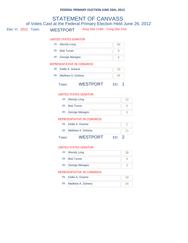# Elec Yr: 2012 Town: WESTPORT Assy Dist 114th - Cong Dist 21st STATEMENT OF CANVASS of Votes Cast at the Federal Primary Election Held June 26, 2012 UNITED STATES SENATOR 1B: Wendy Long 48 2B: Bob Turner 9 3B: George Maragos 6 4B: Kellie A. Greene 20 REPRESENTATIVE IN CONGRESS 5B: Matthew A. Doheny **1988** 45 Town: WESTPORT ED: 1

#### UNITED STATES SENATOR

| 1B: Wendy Long     |  |
|--------------------|--|
| 2B: Bob Turner     |  |
| 3B: George Maragos |  |
|                    |  |

#### REPRESENTATIVE IN CONGRESS

|       | 4B: Kellie A. Greene  |     |  |
|-------|-----------------------|-----|--|
|       | 5B: Matthew A. Doheny |     |  |
| Town: | WESTPORT              | FD∙ |  |

#### UNITED STATES SENATOR

| 1B: Wendy Long     |  |
|--------------------|--|
| 2B: Bob Turner     |  |
| 3B: George Maragos |  |

| 4B: Kellie A. Greene  |  |
|-----------------------|--|
| 5B: Matthew A. Doheny |  |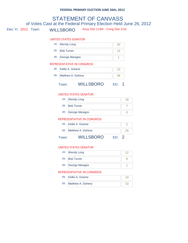# Elec Yr: 2012 Town: WILLSBORO Assy Dist 114th - Cong Dist 21st STATEMENT OF CANVASS of Votes Cast at the Federal Primary Election Held June 26, 2012 UNITED STATES SENATOR 1B: Wendy Long 30 2B: Bob Turner 13 3B: George Maragos 1999 4B: Kellie A. Greene 12 REPRESENTATIVE IN CONGRESS 5B: Matthew A. Doheny 26 Town: WILLSBORO ED: 1

#### UNITED STATES SENATOR

| 1B: Wendy Long     |  |
|--------------------|--|
| 2B: Bob Turner     |  |
| 3B: George Maragos |  |
|                    |  |

#### REPRESENTATIVE IN CONGRESS

|       | 4B: Kellie A. Greene  |     |  |
|-------|-----------------------|-----|--|
|       | 5B: Matthew A. Doheny |     |  |
| Town: | <b>WILLSBORO</b>      | FD. |  |

#### UNITED STATES SENATOR

| 1B: Wendy Long     |  |
|--------------------|--|
| 2B: Bob Turner     |  |
| 3B: George Maragos |  |

| 4B: Kellie A. Greene  |  |
|-----------------------|--|
| 5B: Matthew A. Doheny |  |